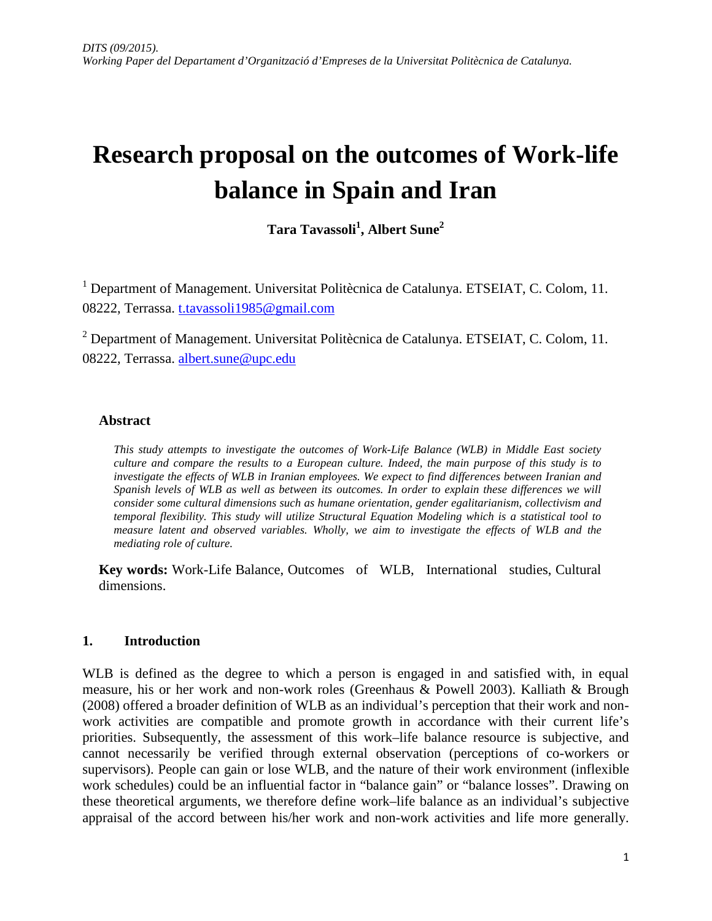# **Research proposal on the outcomes of Work-life balance in Spain and Iran**

**Tara Tavassoli<sup>1</sup> , Albert Sune2**

<sup>1</sup> Department of Management. Universitat Politècnica de Catalunya. ETSEIAT, C. Colom, 11. 08222, Terrassa. [t.tavassoli1985@gmail.com](mailto:t.tavassoli1985@gmail.com)

<sup>2</sup> Department of Management. Universitat Politècnica de Catalunya. ETSEIAT, C. Colom, 11. 08222, Terrassa. [albert.sune@upc.edu](mailto:albert.sune@upc.edu)

#### **Abstract**

*This study attempts to investigate the outcomes of Work-Life Balance (WLB) in Middle East society culture and compare the results to a European culture. Indeed, the main purpose of this study is to investigate the effects of WLB in Iranian employees. We expect to find differences between Iranian and Spanish levels of WLB as well as between its outcomes. In order to explain these differences we will consider some cultural dimensions such as humane orientation, gender egalitarianism, collectivism and temporal flexibility. This study will utilize Structural Equation Modeling which is a statistical tool to measure latent and observed variables. Wholly, we aim to investigate the effects of WLB and the mediating role of culture.* 

**Key words:** Work-Life Balance, Outcomes of WLB, International studies, Cultural dimensions.

#### **1. Introduction**

WLB is defined as the degree to which a person is engaged in and satisfied with, in equal measure, his or her work and non-work roles (Greenhaus & Powell 2003). Kalliath & Brough (2008) offered a broader definition of WLB as an individual's perception that their work and nonwork activities are compatible and promote growth in accordance with their current life's priorities. Subsequently, the assessment of this work–life balance resource is subjective, and cannot necessarily be verified through external observation (perceptions of co-workers or supervisors). People can gain or lose WLB, and the nature of their work environment (inflexible work schedules) could be an influential factor in "balance gain" or "balance losses". Drawing on these theoretical arguments, we therefore define work–life balance as an individual's subjective appraisal of the accord between his/her work and non-work activities and life more generally.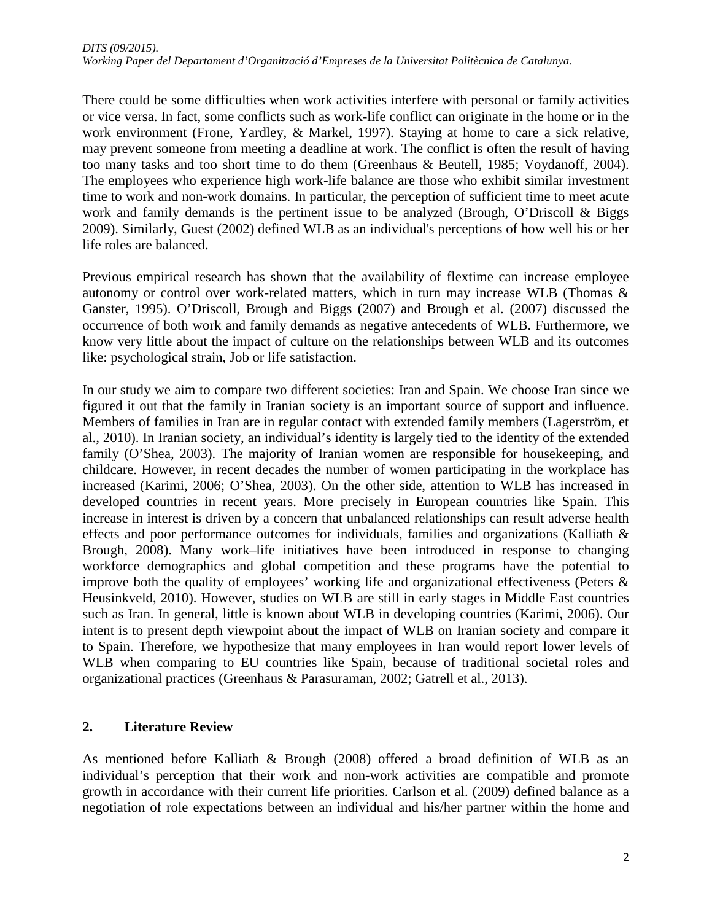There could be some difficulties when work activities interfere with personal or family activities or vice versa. In fact, some conflicts such as work-life conflict can originate in the home or in the work environment (Frone, Yardley, & Markel, 1997). Staying at home to care a sick relative, may prevent someone from meeting a deadline at work. The conflict is often the result of having too many tasks and too short time to do them (Greenhaus & Beutell, 1985; Voydanoff, 2004). The employees who experience high work-life balance are those who exhibit similar investment time to work and non-work domains. In particular, the perception of sufficient time to meet acute work and family demands is the pertinent issue to be analyzed (Brough, O'Driscoll & Biggs 2009). Similarly, Guest (2002) defined WLB as an individual's perceptions of how well his or her life roles are balanced.

Previous empirical research has shown that the availability of flextime can increase employee autonomy or control over work-related matters, which in turn may increase WLB (Thomas & Ganster, 1995). O'Driscoll, Brough and Biggs (2007) and Brough et al. (2007) discussed the occurrence of both work and family demands as negative antecedents of WLB. Furthermore, we know very little about the impact of culture on the relationships between WLB and its outcomes like: psychological strain, Job or life satisfaction.

In our study we aim to compare two different societies: Iran and Spain. We choose Iran since we figured it out that the family in Iranian society is an important source of support and influence. Members of families in Iran are in regular contact with extended family members (Lagerström, et al., 2010). In Iranian society, an individual's identity is largely tied to the identity of the extended family (O'Shea, 2003). The majority of Iranian women are responsible for housekeeping, and childcare. However, in recent decades the number of women participating in the workplace has increased (Karimi, 2006; O'Shea, 2003). On the other side, attention to WLB has increased in developed countries in recent years. More precisely in European countries like Spain. This increase in interest is driven by a concern that unbalanced relationships can result adverse health effects and poor performance outcomes for individuals, families and organizations (Kalliath & Brough, 2008). Many work–life initiatives have been introduced in response to changing workforce demographics and global competition and these programs have the potential to improve both the quality of employees' working life and organizational effectiveness (Peters & Heusinkveld, 2010). However, studies on WLB are still in early stages in Middle East countries such as Iran. In general, little is known about WLB in developing countries (Karimi, 2006). Our intent is to present depth viewpoint about the impact of WLB on Iranian society and compare it to Spain. Therefore, we hypothesize that many employees in Iran would report lower levels of WLB when comparing to EU countries like Spain, because of traditional societal roles and organizational practices (Greenhaus & Parasuraman, 2002; Gatrell et al., 2013).

### **2. Literature Review**

As mentioned before Kalliath & Brough (2008) offered a broad definition of WLB as an individual's perception that their work and non-work activities are compatible and promote growth in accordance with their current life priorities. Carlson et al. (2009) defined balance as a negotiation of role expectations between an individual and his/her partner within the home and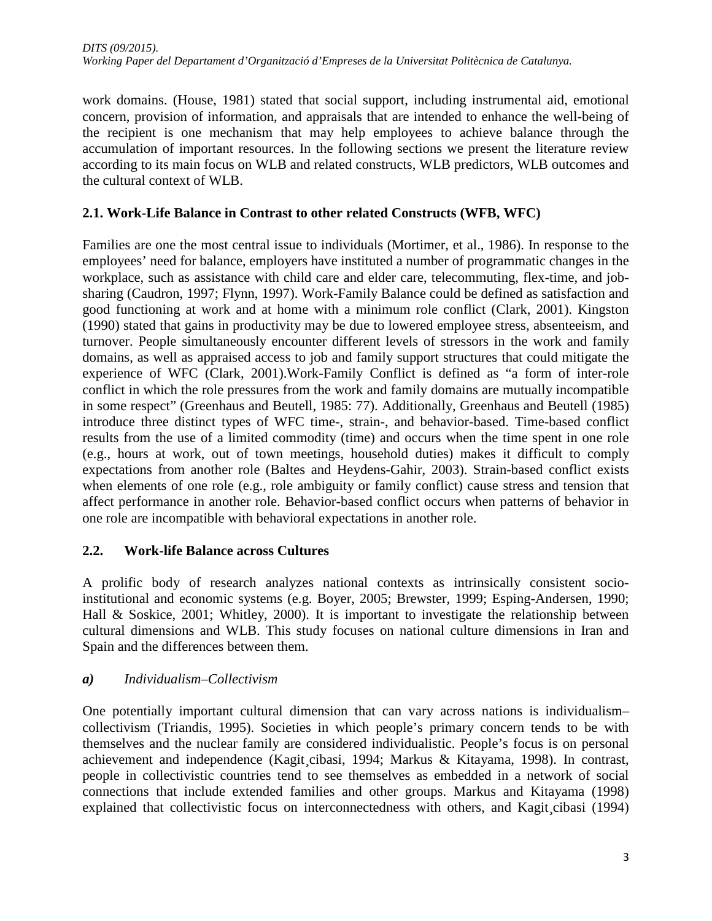work domains. (House, 1981) stated that social support, including instrumental aid, emotional concern, provision of information, and appraisals that are intended to enhance the well-being of the recipient is one mechanism that may help employees to achieve balance through the accumulation of important resources. In the following sections we present the literature review according to its main focus on WLB and related constructs, WLB predictors, WLB outcomes and the cultural context of WLB.

## **2.1. Work-Life Balance in Contrast to other related Constructs (WFB, WFC)**

Families are one the most central issue to individuals (Mortimer, et al., 1986). In response to the employees' need for balance, employers have instituted a number of programmatic changes in the workplace, such as assistance with child care and elder care, telecommuting, flex-time, and jobsharing (Caudron, 1997; Flynn, 1997). Work-Family Balance could be defined as satisfaction and good functioning at work and at home with a minimum role conflict (Clark, 2001). Kingston (1990) stated that gains in productivity may be due to lowered employee stress, absenteeism, and turnover. People simultaneously encounter different levels of stressors in the work and family domains, as well as appraised access to job and family support structures that could mitigate the experience of WFC (Clark, 2001).Work-Family Conflict is defined as "a form of inter-role conflict in which the role pressures from the work and family domains are mutually incompatible in some respect" (Greenhaus and Beutell, 1985: 77). Additionally, Greenhaus and Beutell (1985) introduce three distinct types of WFC time-, strain-, and behavior-based. Time-based conflict results from the use of a limited commodity (time) and occurs when the time spent in one role (e.g., hours at work, out of town meetings, household duties) makes it difficult to comply expectations from another role (Baltes and Heydens-Gahir, 2003). Strain-based conflict exists when elements of one role (e.g., role ambiguity or family conflict) cause stress and tension that affect performance in another role. Behavior-based conflict occurs when patterns of behavior in one role are incompatible with behavioral expectations in another role.

### **2.2. Work-life Balance across Cultures**

A prolific body of research analyzes national contexts as intrinsically consistent socioinstitutional and economic systems (e.g. Boyer, 2005; Brewster, 1999; Esping-Andersen, 1990; Hall & Soskice, 2001; Whitley, 2000). It is important to investigate the relationship between cultural dimensions and WLB. This study focuses on national culture dimensions in Iran and Spain and the differences between them.

### *a) Individualism–Collectivism*

One potentially important cultural dimension that can vary across nations is individualism– collectivism (Triandis, 1995). Societies in which people's primary concern tends to be with themselves and the nuclear family are considered individualistic. People's focus is on personal achievement and independence (Kagit¸cibasi, 1994; Markus & Kitayama, 1998). In contrast, people in collectivistic countries tend to see themselves as embedded in a network of social connections that include extended families and other groups. Markus and Kitayama (1998) explained that collectivistic focus on interconnectedness with others, and Kagit cibasi (1994)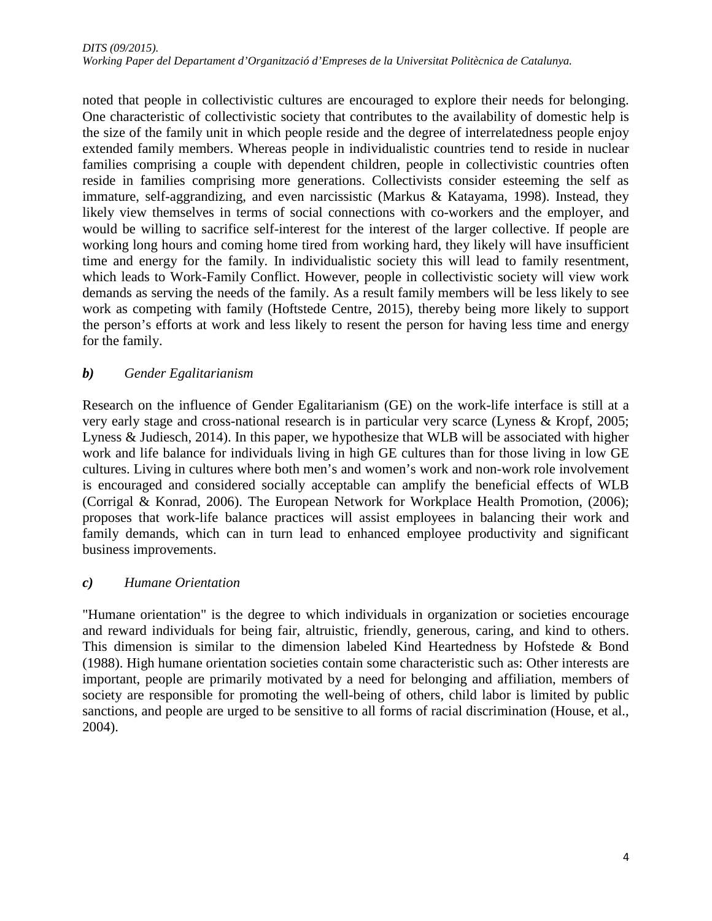noted that people in collectivistic cultures are encouraged to explore their needs for belonging. One characteristic of collectivistic society that contributes to the availability of domestic help is the size of the family unit in which people reside and the degree of interrelatedness people enjoy extended family members. Whereas people in individualistic countries tend to reside in nuclear families comprising a couple with dependent children, people in collectivistic countries often reside in families comprising more generations. Collectivists consider esteeming the self as immature, self-aggrandizing, and even narcissistic (Markus & Katayama, 1998). Instead, they likely view themselves in terms of social connections with co-workers and the employer, and would be willing to sacrifice self-interest for the interest of the larger collective. If people are working long hours and coming home tired from working hard, they likely will have insufficient time and energy for the family. In individualistic society this will lead to family resentment, which leads to Work-Family Conflict. However, people in collectivistic society will view work demands as serving the needs of the family. As a result family members will be less likely to see work as competing with family (Hoftstede Centre, 2015), thereby being more likely to support the person's efforts at work and less likely to resent the person for having less time and energy for the family.

## *b) Gender Egalitarianism*

Research on the influence of Gender Egalitarianism (GE) on the work-life interface is still at a very early stage and cross-national research is in particular very scarce (Lyness & Kropf, 2005; Lyness & Judiesch, 2014). In this paper, we hypothesize that WLB will be associated with higher work and life balance for individuals living in high GE cultures than for those living in low GE cultures. Living in cultures where both men's and women's work and non-work role involvement is encouraged and considered socially acceptable can amplify the beneficial effects of WLB (Corrigal & Konrad, 2006). The European Network for Workplace Health Promotion, (2006); proposes that work-life balance practices will assist employees in balancing their work and family demands, which can in turn lead to enhanced employee productivity and significant business improvements.

### *c) Humane Orientation*

"Humane orientation" is the degree to which individuals in organization or societies encourage and reward individuals for being fair, altruistic, friendly, generous, caring, and kind to others. This dimension is similar to the dimension labeled Kind Heartedness by Hofstede & Bond (1988). High humane orientation societies contain some characteristic such as: Other interests are important, people are primarily motivated by a need for belonging and affiliation, members of society are responsible for promoting the well-being of others, child labor is limited by public sanctions, and people are urged to be sensitive to all forms of racial discrimination (House, et al., 2004).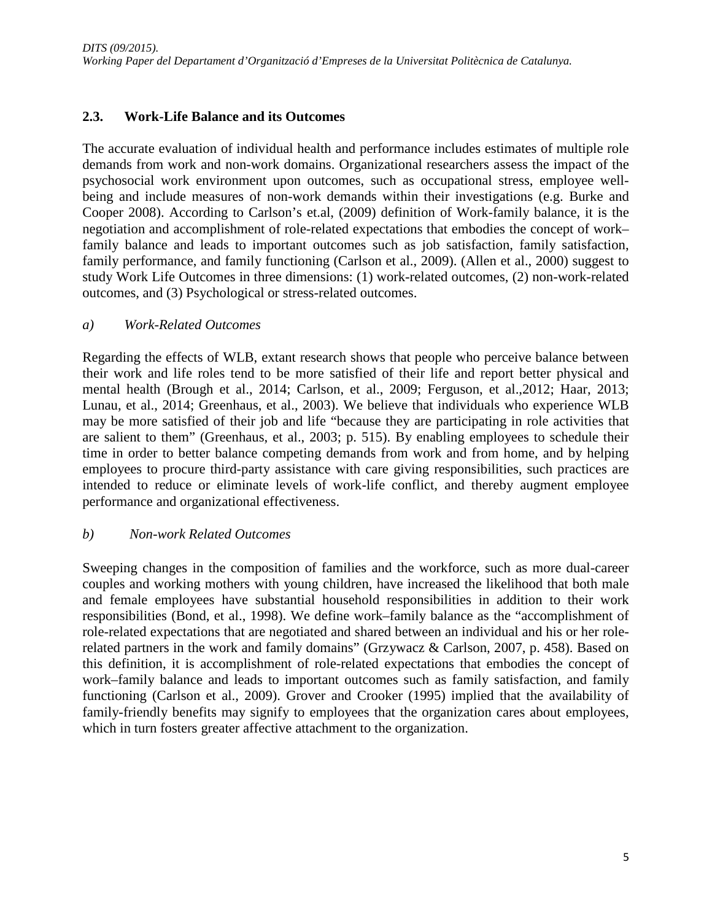## **2.3. Work-Life Balance and its Outcomes**

The accurate evaluation of individual health and performance includes estimates of multiple role demands from work and non-work domains. Organizational researchers assess the impact of the psychosocial work environment upon outcomes, such as occupational stress, employee wellbeing and include measures of non-work demands within their investigations (e.g. Burke and Cooper 2008). According to Carlson's et.al, (2009) definition of Work-family balance, it is the negotiation and accomplishment of role-related expectations that embodies the concept of work– family balance and leads to important outcomes such as job satisfaction, family satisfaction, family performance, and family functioning (Carlson et al., 2009). (Allen et al., 2000) suggest to study Work Life Outcomes in three dimensions: (1) work-related outcomes, (2) non-work-related outcomes, and (3) Psychological or stress-related outcomes.

#### *a) Work-Related Outcomes*

Regarding the effects of WLB, extant research shows that people who perceive balance between their work and life roles tend to be more satisfied of their life and report better physical and mental health (Brough et al., 2014; Carlson, et al., 2009; Ferguson, et al.,2012; Haar, 2013; Lunau, et al., 2014; Greenhaus, et al., 2003). We believe that individuals who experience WLB may be more satisfied of their job and life "because they are participating in role activities that are salient to them" (Greenhaus, et al., 2003; p. 515). By enabling employees to schedule their time in order to better balance competing demands from work and from home, and by helping employees to procure third-party assistance with care giving responsibilities, such practices are intended to reduce or eliminate levels of work-life conflict, and thereby augment employee performance and organizational effectiveness.

### *b) Non-work Related Outcomes*

Sweeping changes in the composition of families and the workforce, such as more dual-career couples and working mothers with young children, have increased the likelihood that both male and female employees have substantial household responsibilities in addition to their work responsibilities (Bond, et al., 1998). We define work–family balance as the "accomplishment of role-related expectations that are negotiated and shared between an individual and his or her rolerelated partners in the work and family domains" (Grzywacz & Carlson, 2007, p. 458). Based on this definition, it is accomplishment of role-related expectations that embodies the concept of work–family balance and leads to important outcomes such as family satisfaction, and family functioning (Carlson et al., 2009). Grover and Crooker (1995) implied that the availability of family-friendly benefits may signify to employees that the organization cares about employees, which in turn fosters greater affective attachment to the organization.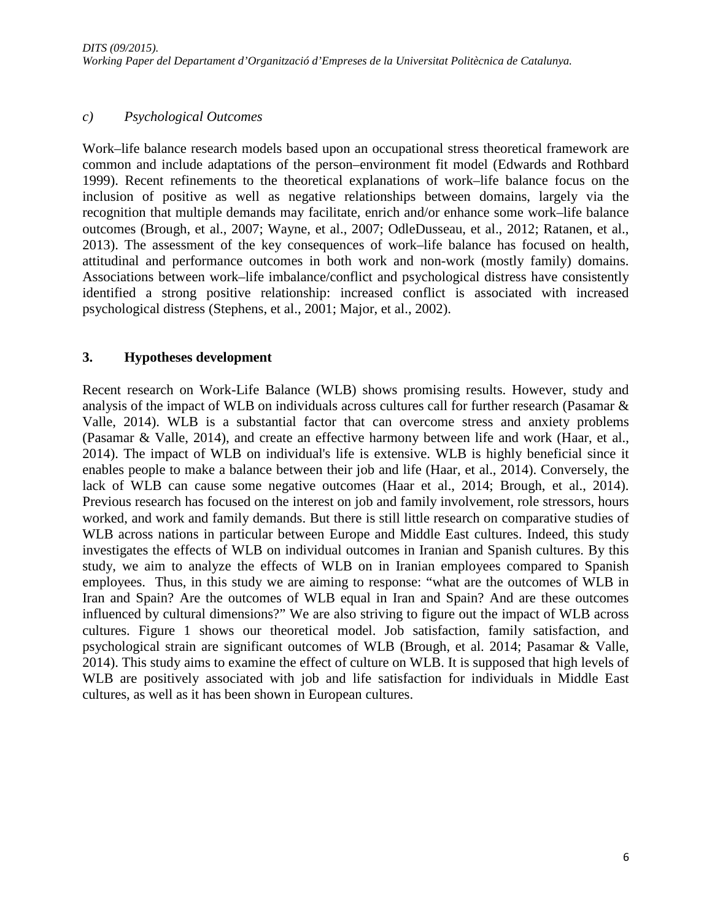#### *c) Psychological Outcomes*

Work–life balance research models based upon an occupational stress theoretical framework are common and include adaptations of the person–environment fit model (Edwards and Rothbard 1999). Recent refinements to the theoretical explanations of work–life balance focus on the inclusion of positive as well as negative relationships between domains, largely via the recognition that multiple demands may facilitate, enrich and/or enhance some work–life balance outcomes (Brough, et al., 2007; Wayne, et al., 2007; OdleDusseau, et al., 2012; Ratanen, et al., 2013). The assessment of the key consequences of work–life balance has focused on health, attitudinal and performance outcomes in both work and non-work (mostly family) domains. Associations between work–life imbalance/conflict and psychological distress have consistently identified a strong positive relationship: increased conflict is associated with increased psychological distress (Stephens, et al., 2001; Major, et al., 2002).

#### **3. Hypotheses development**

Recent research on Work-Life Balance (WLB) shows promising results. However, study and analysis of the impact of WLB on individuals across cultures call for further research (Pasamar & Valle, 2014). WLB is a substantial factor that can overcome stress and anxiety problems (Pasamar & Valle, 2014), and create an effective harmony between life and work (Haar, et al., 2014). The impact of WLB on individual's life is extensive. WLB is highly beneficial since it enables people to make a balance between their job and life (Haar, et al., 2014). Conversely, the lack of WLB can cause some negative outcomes (Haar et al., 2014; Brough, et al., 2014). Previous research has focused on the interest on job and family involvement, role stressors, hours worked, and work and family demands. But there is still little research on comparative studies of WLB across nations in particular between Europe and Middle East cultures. Indeed, this study investigates the effects of WLB on individual outcomes in Iranian and Spanish cultures. By this study, we aim to analyze the effects of WLB on in Iranian employees compared to Spanish employees. Thus, in this study we are aiming to response: "what are the outcomes of WLB in Iran and Spain? Are the outcomes of WLB equal in Iran and Spain? And are these outcomes influenced by cultural dimensions?" We are also striving to figure out the impact of WLB across cultures. Figure 1 shows our theoretical model. Job satisfaction, family satisfaction, and psychological strain are significant outcomes of WLB (Brough, et al. 2014; Pasamar & Valle, 2014). This study aims to examine the effect of culture on WLB. It is supposed that high levels of WLB are positively associated with job and life satisfaction for individuals in Middle East cultures, as well as it has been shown in European cultures.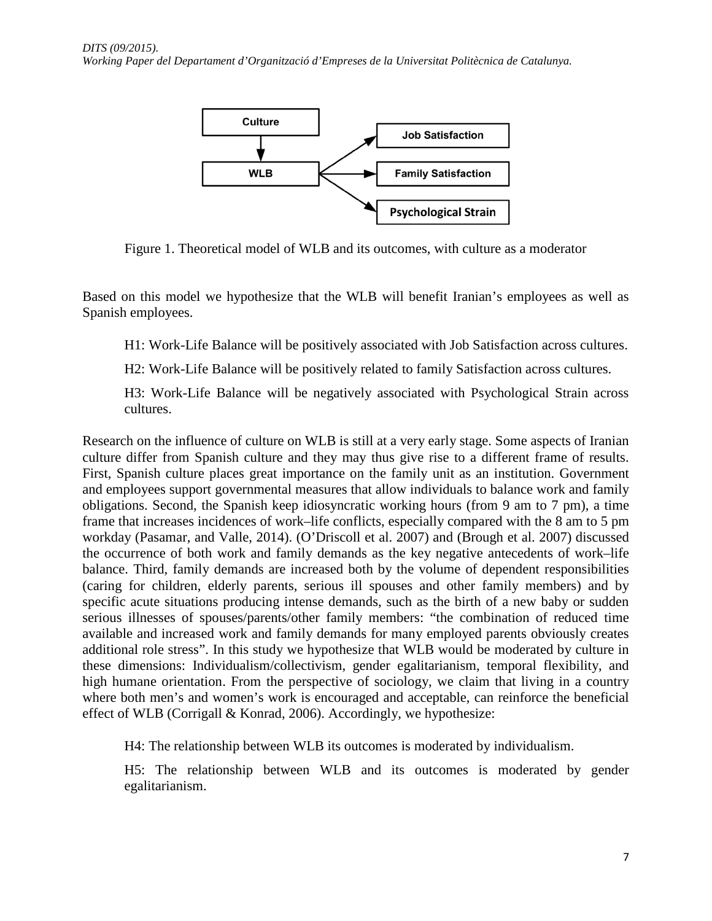

Figure 1. Theoretical model of WLB and its outcomes, with culture as a moderator

Based on this model we hypothesize that the WLB will benefit Iranian's employees as well as Spanish employees.

H1: Work-Life Balance will be positively associated with Job Satisfaction across cultures.

H2: Work-Life Balance will be positively related to family Satisfaction across cultures.

H3: Work-Life Balance will be negatively associated with Psychological Strain across cultures.

Research on the influence of culture on WLB is still at a very early stage. Some aspects of Iranian culture differ from Spanish culture and they may thus give rise to a different frame of results. First, Spanish culture places great importance on the family unit as an institution. Government and employees support governmental measures that allow individuals to balance work and family obligations. Second, the Spanish keep idiosyncratic working hours (from 9 am to 7 pm), a time frame that increases incidences of work–life conflicts, especially compared with the 8 am to 5 pm workday (Pasamar, and Valle, 2014). (O'Driscoll et al. 2007) and (Brough et al. 2007) discussed the occurrence of both work and family demands as the key negative antecedents of work–life balance. Third, family demands are increased both by the volume of dependent responsibilities (caring for children, elderly parents, serious ill spouses and other family members) and by specific acute situations producing intense demands, such as the birth of a new baby or sudden serious illnesses of spouses/parents/other family members: "the combination of reduced time available and increased work and family demands for many employed parents obviously creates additional role stress". In this study we hypothesize that WLB would be moderated by culture in these dimensions: Individualism/collectivism, gender egalitarianism, temporal flexibility, and high humane orientation. From the perspective of sociology, we claim that living in a country where both men's and women's work is encouraged and acceptable, can reinforce the beneficial effect of WLB (Corrigall & Konrad, 2006). Accordingly, we hypothesize:

H4: The relationship between WLB its outcomes is moderated by individualism.

H5: The relationship between WLB and its outcomes is moderated by gender egalitarianism.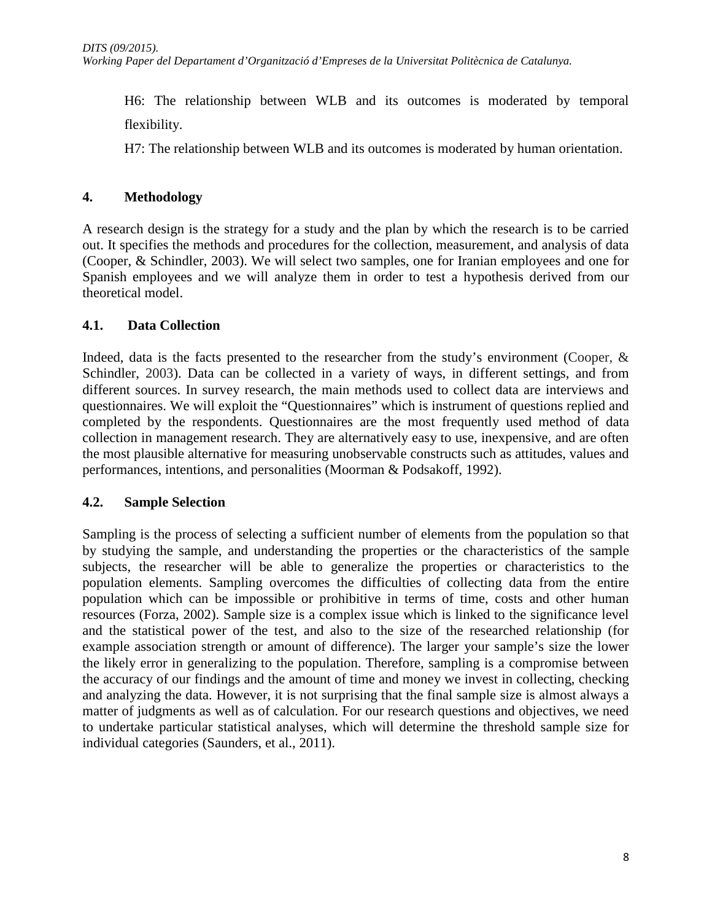H6: The relationship between WLB and its outcomes is moderated by temporal flexibility.

H7: The relationship between WLB and its outcomes is moderated by human orientation.

## **4. Methodology**

A research design is the strategy for a study and the plan by which the research is to be carried out. It specifies the methods and procedures for the collection, measurement, and analysis of data (Cooper, & Schindler, 2003). We will select two samples, one for Iranian employees and one for Spanish employees and we will analyze them in order to test a hypothesis derived from our theoretical model.

## **4.1. Data Collection**

Indeed, data is the facts presented to the researcher from the study's environment (Cooper, & Schindler, 2003). Data can be collected in a variety of ways, in different settings, and from different sources. In survey research, the main methods used to collect data are interviews and questionnaires. We will exploit the "Questionnaires" which is instrument of questions replied and completed by the respondents. Questionnaires are the most frequently used method of data collection in management research. They are alternatively easy to use, inexpensive, and are often the most plausible alternative for measuring unobservable constructs such as attitudes, values and performances, intentions, and personalities (Moorman & Podsakoff, 1992).

# **4.2. Sample Selection**

Sampling is the process of selecting a sufficient number of elements from the population so that by studying the sample, and understanding the properties or the characteristics of the sample subjects, the researcher will be able to generalize the properties or characteristics to the population elements. Sampling overcomes the difficulties of collecting data from the entire population which can be impossible or prohibitive in terms of time, costs and other human resources (Forza, 2002). Sample size is a complex issue which is linked to the significance level and the statistical power of the test, and also to the size of the researched relationship (for example association strength or amount of difference). The larger your sample's size the lower the likely error in generalizing to the population. Therefore, sampling is a compromise between the accuracy of our findings and the amount of time and money we invest in collecting, checking and analyzing the data. However, it is not surprising that the final sample size is almost always a matter of judgments as well as of calculation. For our research questions and objectives, we need to undertake particular statistical analyses, which will determine the threshold sample size for individual categories (Saunders, et al., 2011).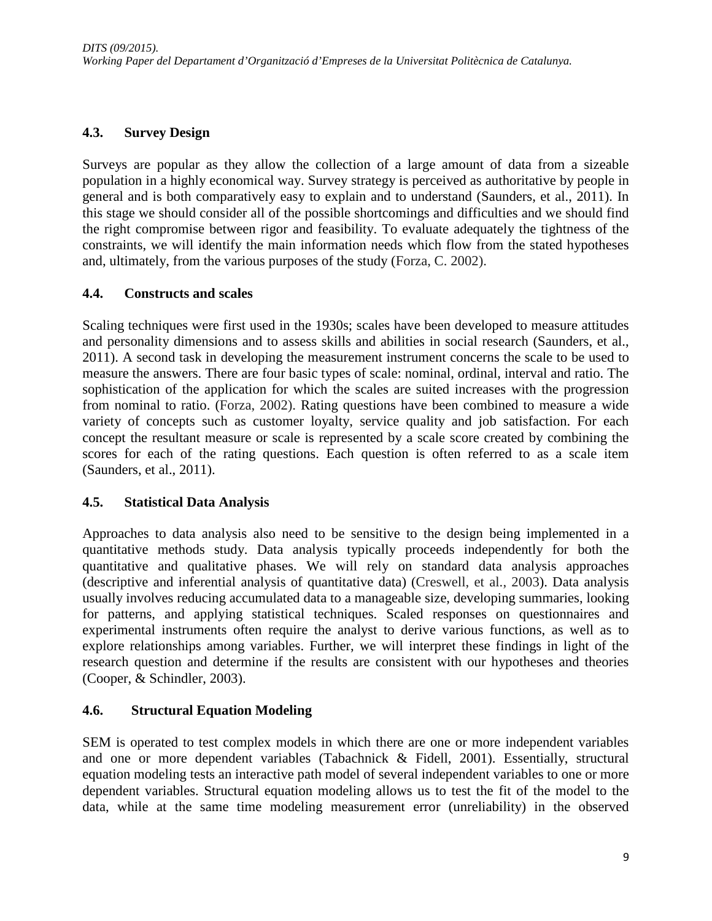## **4.3. Survey Design**

Surveys are popular as they allow the collection of a large amount of data from a sizeable population in a highly economical way. Survey strategy is perceived as authoritative by people in general and is both comparatively easy to explain and to understand (Saunders, et al., 2011). In this stage we should consider all of the possible shortcomings and difficulties and we should find the right compromise between rigor and feasibility. To evaluate adequately the tightness of the constraints, we will identify the main information needs which flow from the stated hypotheses and, ultimately, from the various purposes of the study (Forza, C. 2002).

## **4.4. Constructs and scales**

Scaling techniques were first used in the 1930s; scales have been developed to measure attitudes and personality dimensions and to assess skills and abilities in social research (Saunders, et al., 2011). A second task in developing the measurement instrument concerns the scale to be used to measure the answers. There are four basic types of scale: nominal, ordinal, interval and ratio. The sophistication of the application for which the scales are suited increases with the progression from nominal to ratio. (Forza, 2002). Rating questions have been combined to measure a wide variety of concepts such as customer loyalty, service quality and job satisfaction. For each concept the resultant measure or scale is represented by a scale score created by combining the scores for each of the rating questions. Each question is often referred to as a scale item (Saunders, et al., 2011).

# **4.5. Statistical Data Analysis**

Approaches to data analysis also need to be sensitive to the design being implemented in a quantitative methods study. Data analysis typically proceeds independently for both the quantitative and qualitative phases. We will rely on standard data analysis approaches (descriptive and inferential analysis of quantitative data) (Creswell, et al., 2003). Data analysis usually involves reducing accumulated data to a manageable size, developing summaries, looking for patterns, and applying statistical techniques. Scaled responses on questionnaires and experimental instruments often require the analyst to derive various functions, as well as to explore relationships among variables. Further, we will interpret these findings in light of the research question and determine if the results are consistent with our hypotheses and theories (Cooper, & Schindler, 2003).

# **4.6. Structural Equation Modeling**

SEM is operated to test complex models in which there are one or more independent variables and one or more dependent variables (Tabachnick & Fidell, 2001). Essentially, structural equation modeling tests an interactive path model of several independent variables to one or more dependent variables. Structural equation modeling allows us to test the fit of the model to the data, while at the same time modeling measurement error (unreliability) in the observed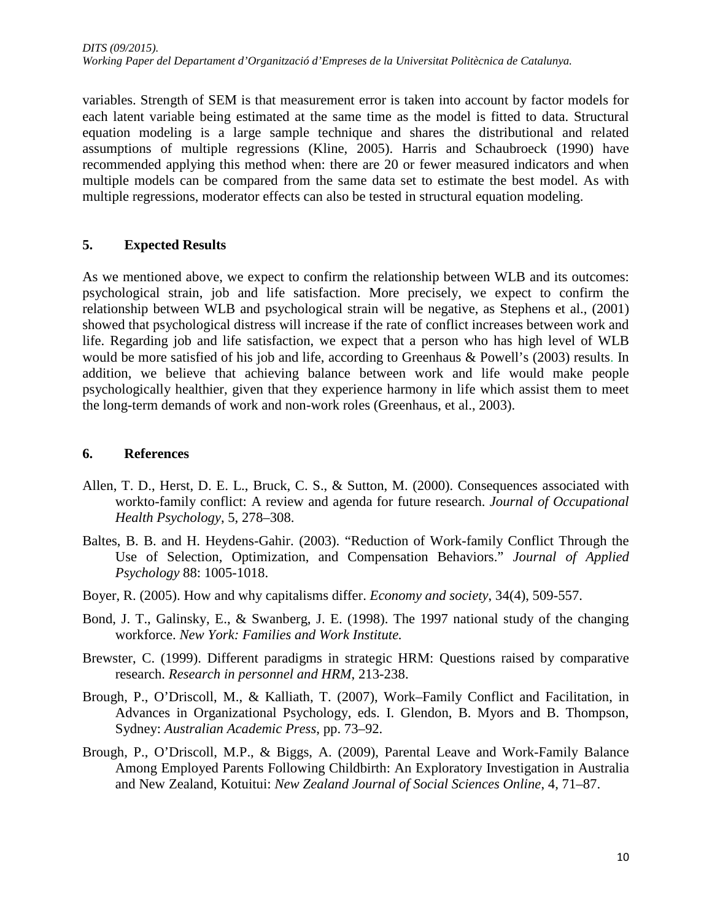variables. Strength of SEM is that measurement error is taken into account by factor models for each latent variable being estimated at the same time as the model is fitted to data. Structural equation modeling is a large sample technique and shares the distributional and related assumptions of multiple regressions (Kline, 2005). Harris and Schaubroeck (1990) have recommended applying this method when: there are 20 or fewer measured indicators and when multiple models can be compared from the same data set to estimate the best model. As with multiple regressions, moderator effects can also be tested in structural equation modeling.

#### **5. Expected Results**

As we mentioned above, we expect to confirm the relationship between WLB and its outcomes: psychological strain, job and life satisfaction. More precisely, we expect to confirm the relationship between WLB and psychological strain will be negative, as Stephens et al., (2001) showed that psychological distress will increase if the rate of conflict increases between work and life. Regarding job and life satisfaction, we expect that a person who has high level of WLB would be more satisfied of his job and life, according to Greenhaus & Powell's (2003) results. In addition, we believe that achieving balance between work and life would make people psychologically healthier, given that they experience harmony in life which assist them to meet the long-term demands of work and non-work roles (Greenhaus, et al., 2003).

#### **6. References**

- Allen, T. D., Herst, D. E. L., Bruck, C. S., & Sutton, M. (2000). Consequences associated with workto-family conflict: A review and agenda for future research. *Journal of Occupational Health Psychology*, 5, 278–308.
- Baltes, B. B. and H. Heydens-Gahir. (2003). "Reduction of Work-family Conflict Through the Use of Selection, Optimization, and Compensation Behaviors." *Journal of Applied Psychology* 88: 1005-1018.
- Boyer, R. (2005). How and why capitalisms differ. *Economy and society*, 34(4), 509-557.
- Bond, J. T., Galinsky, E., & Swanberg, J. E. (1998). The 1997 national study of the changing workforce. *New York: Families and Work Institute.*
- Brewster, C. (1999). Different paradigms in strategic HRM: Questions raised by comparative research. *Research in personnel and HRM*, 213-238.
- Brough, P., O'Driscoll, M., & Kalliath, T. (2007), Work–Family Conflict and Facilitation, in Advances in Organizational Psychology, eds. I. Glendon, B. Myors and B. Thompson, Sydney: *Australian Academic Press*, pp. 73–92.
- Brough, P., O'Driscoll, M.P., & Biggs, A. (2009), Parental Leave and Work-Family Balance Among Employed Parents Following Childbirth: An Exploratory Investigation in Australia and New Zealand, Kotuitui: *New Zealand Journal of Social Sciences Online*, 4, 71–87.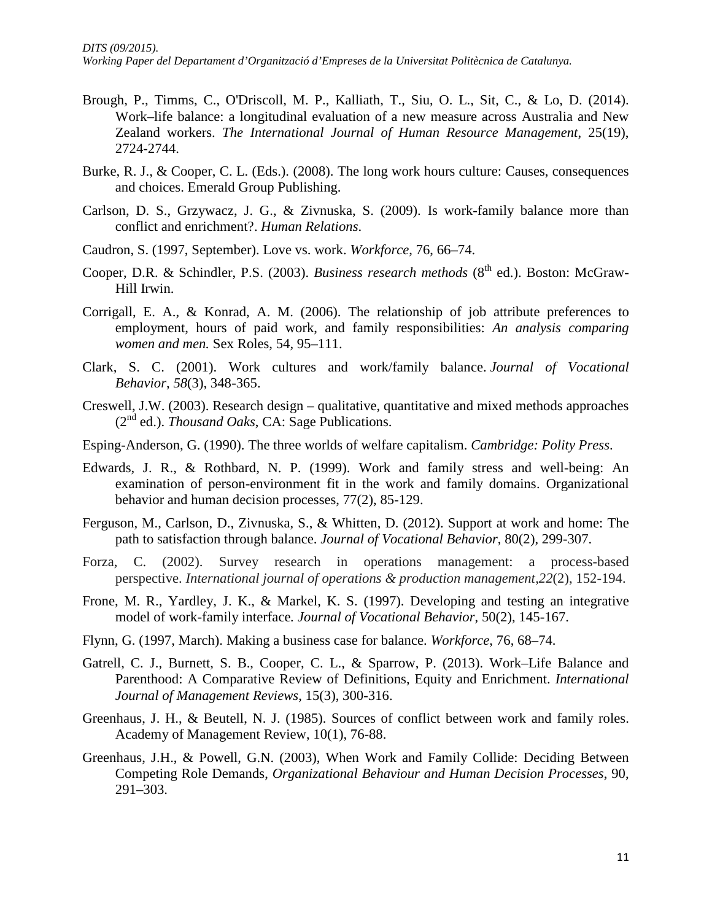- Brough, P., Timms, C., O'Driscoll, M. P., Kalliath, T., Siu, O. L., Sit, C., & Lo, D. (2014). Work–life balance: a longitudinal evaluation of a new measure across Australia and New Zealand workers. *The International Journal of Human Resource Management*, 25(19), 2724-2744.
- Burke, R. J., & Cooper, C. L. (Eds.). (2008). The long work hours culture: Causes, consequences and choices. Emerald Group Publishing.
- Carlson, D. S., Grzywacz, J. G., & Zivnuska, S. (2009). Is work-family balance more than conflict and enrichment?. *Human Relations*.
- Caudron, S. (1997, September). Love vs. work. *Workforce*, 76, 66–74.
- Cooper, D.R. & Schindler, P.S. (2003). *Business research methods* (8<sup>th</sup> ed.). Boston: McGraw-Hill Irwin.
- Corrigall, E. A., & Konrad, A. M. (2006). The relationship of job attribute preferences to employment, hours of paid work, and family responsibilities: *An analysis comparing women and men.* Sex Roles, 54, 95–111.
- Clark, S. C. (2001). Work cultures and work/family balance. *Journal of Vocational Behavior*, *58*(3), 348-365.
- Creswell, J.W. (2003). Research design qualitative, quantitative and mixed methods approaches (2nd ed.). *Thousand Oaks*, CA: Sage Publications.
- Esping-Anderson, G. (1990). The three worlds of welfare capitalism. *Cambridge: Polity Press*.
- Edwards, J. R., & Rothbard, N. P. (1999). Work and family stress and well-being: An examination of person-environment fit in the work and family domains. Organizational behavior and human decision processes, 77(2), 85-129.
- Ferguson, M., Carlson, D., Zivnuska, S., & Whitten, D. (2012). Support at work and home: The path to satisfaction through balance. *Journal of Vocational Behavior*, 80(2), 299-307.
- Forza, C. (2002). Survey research in operations management: a process-based perspective. *International journal of operations & production management*,*22*(2), 152-194.
- Frone, M. R., Yardley, J. K., & Markel, K. S. (1997). Developing and testing an integrative model of work-family interface*. Journal of Vocational Behavior*, 50(2), 145-167.
- Flynn, G. (1997, March). Making a business case for balance. *Workforce*, 76, 68–74.
- Gatrell, C. J., Burnett, S. B., Cooper, C. L., & Sparrow, P. (2013). Work–Life Balance and Parenthood: A Comparative Review of Definitions, Equity and Enrichment. *International Journal of Management Reviews*, 15(3), 300-316.
- Greenhaus, J. H., & Beutell, N. J. (1985). Sources of conflict between work and family roles. Academy of Management Review, 10(1), 76-88.
- Greenhaus, J.H., & Powell, G.N. (2003), When Work and Family Collide: Deciding Between Competing Role Demands, *Organizational Behaviour and Human Decision Processes*, 90, 291–303.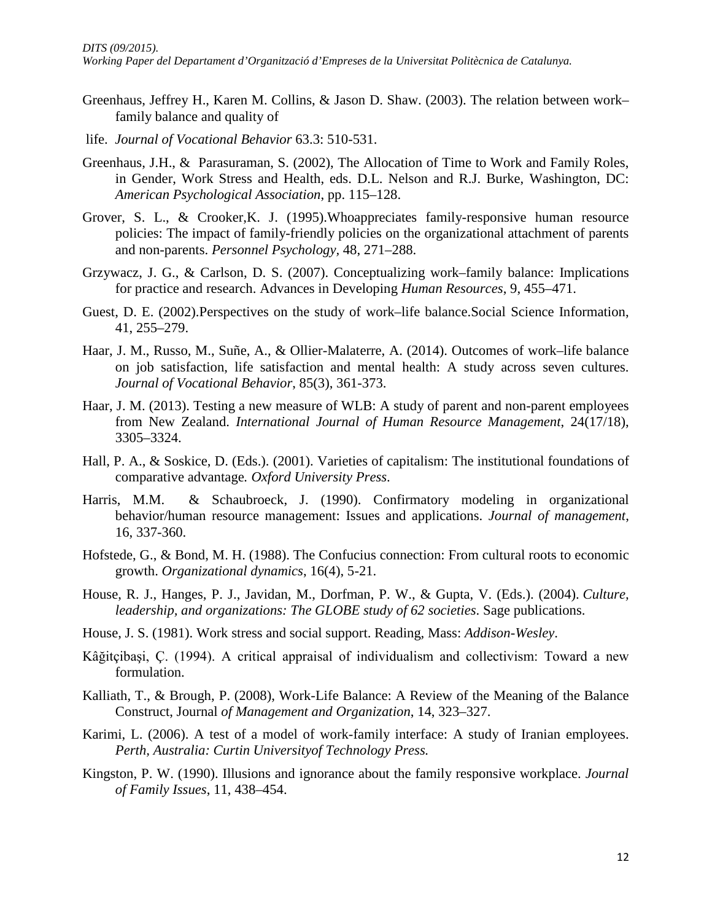- Greenhaus, Jeffrey H., Karen M. Collins, & Jason D. Shaw. (2003). The relation between work– family balance and quality of
- life. *Journal of Vocational Behavior* 63.3: 510-531.
- Greenhaus, J.H., & Parasuraman, S. (2002), The Allocation of Time to Work and Family Roles, in Gender, Work Stress and Health, eds. D.L. Nelson and R.J. Burke, Washington, DC: *American Psychological Association*, pp. 115–128.
- Grover, S. L., & Crooker,K. J. (1995).Whoappreciates family-responsive human resource policies: The impact of family-friendly policies on the organizational attachment of parents and non-parents. *Personnel Psychology,* 48, 271–288.
- Grzywacz, J. G., & Carlson, D. S. (2007). Conceptualizing work–family balance: Implications for practice and research. Advances in Developing *Human Resources*, 9, 455–471.
- Guest, D. E. (2002).Perspectives on the study of work–life balance.Social Science Information, 41, 255–279.
- Haar, J. M., Russo, M., Suñe, A., & Ollier-Malaterre, A. (2014). Outcomes of work–life balance on job satisfaction, life satisfaction and mental health: A study across seven cultures. *Journal of Vocational Behavior*, 85(3), 361-373.
- Haar, J. M. (2013). Testing a new measure of WLB: A study of parent and non-parent employees from New Zealand. *International Journal of Human Resource Management*, 24(17/18), 3305–3324.
- Hall, P. A., & Soskice, D. (Eds.). (2001). Varieties of capitalism: The institutional foundations of comparative advantage*. Oxford University Press*.
- Harris, M.M. & Schaubroeck, J. (1990). Confirmatory modeling in organizational behavior/human resource management: Issues and applications. *Journal of management*, 16, 337-360.
- Hofstede, G., & Bond, M. H. (1988). The Confucius connection: From cultural roots to economic growth. *Organizational dynamics*, 16(4), 5-21.
- House, R. J., Hanges, P. J., Javidan, M., Dorfman, P. W., & Gupta, V. (Eds.). (2004). *Culture, leadership, and organizations: The GLOBE study of 62 societies*. Sage publications.
- House, J. S. (1981). Work stress and social support. Reading, Mass: *Addison-Wesley*.
- Kâğitçibaşi, Ç. (1994). A critical appraisal of individualism and collectivism: Toward a new formulation.
- Kalliath, T., & Brough, P. (2008), Work-Life Balance: A Review of the Meaning of the Balance Construct, Journal *of Management and Organization*, 14, 323–327.
- Karimi, L. (2006). A test of a model of work-family interface: A study of Iranian employees. *Perth, Australia: Curtin Universityof Technology Press.*
- Kingston, P. W. (1990). Illusions and ignorance about the family responsive workplace. *Journal of Family Issues*, 11, 438–454.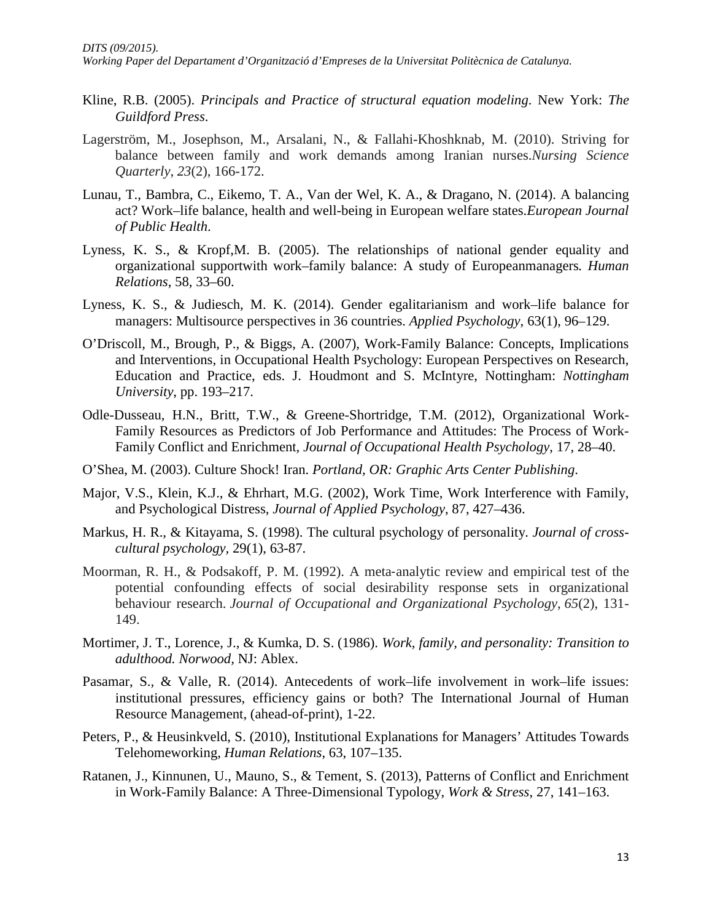*Working Paper del Departament d'Organització d'Empreses de la Universitat Politècnica de Catalunya.*

- Kline, R.B. (2005). *Principals and Practice of structural equation modeling*. New York: *The Guildford Press*.
- Lagerström, M., Josephson, M., Arsalani, N., & Fallahi-Khoshknab, M. (2010). Striving for balance between family and work demands among Iranian nurses.*Nursing Science Quarterly*, *23*(2), 166-172.
- Lunau, T., Bambra, C., Eikemo, T. A., Van der Wel, K. A., & Dragano, N. (2014). A balancing act? Work–life balance, health and well-being in European welfare states.*European Journal of Public Health*.
- Lyness, K. S., & Kropf,M. B. (2005). The relationships of national gender equality and organizational supportwith work–family balance: A study of Europeanmanagers*. Human Relations*, 58, 33–60.
- Lyness, K. S., & Judiesch, M. K. (2014). Gender egalitarianism and work–life balance for managers: Multisource perspectives in 36 countries. *Applied Psychology*, 63(1), 96–129.
- O'Driscoll, M., Brough, P., & Biggs, A. (2007), Work-Family Balance: Concepts, Implications and Interventions, in Occupational Health Psychology: European Perspectives on Research, Education and Practice, eds. J. Houdmont and S. McIntyre, Nottingham: *Nottingham University*, pp. 193–217.
- Odle-Dusseau, H.N., Britt, T.W., & Greene-Shortridge, T.M. (2012), Organizational Work-Family Resources as Predictors of Job Performance and Attitudes: The Process of Work-Family Conflict and Enrichment, *Journal of Occupational Health Psychology*, 17, 28–40.
- O'Shea, M. (2003). Culture Shock! Iran. *Portland, OR: Graphic Arts Center Publishing*.
- Major, V.S., Klein, K.J., & Ehrhart, M.G. (2002), Work Time, Work Interference with Family, and Psychological Distress, *Journal of Applied Psychology*, 87, 427–436.
- Markus, H. R., & Kitayama, S. (1998). The cultural psychology of personality. *Journal of crosscultural psychology,* 29(1), 63-87.
- Moorman, R. H., & Podsakoff, P. M. (1992). A meta-analytic review and empirical test of the potential confounding effects of social desirability response sets in organizational behaviour research. *Journal of Occupational and Organizational Psychology*, *65*(2), 131- 149.
- Mortimer, J. T., Lorence, J., & Kumka, D. S. (1986). *Work, family, and personality: Transition to adulthood. Norwood,* NJ: Ablex.
- Pasamar, S., & Valle, R. (2014). Antecedents of work–life involvement in work–life issues: institutional pressures, efficiency gains or both? The International Journal of Human Resource Management, (ahead-of-print), 1-22.
- Peters, P., & Heusinkveld, S. (2010), Institutional Explanations for Managers' Attitudes Towards Telehomeworking, *Human Relations*, 63, 107–135.
- Ratanen, J., Kinnunen, U., Mauno, S., & Tement, S. (2013), Patterns of Conflict and Enrichment in Work-Family Balance: A Three-Dimensional Typology, *Work & Stress*, 27, 141–163.